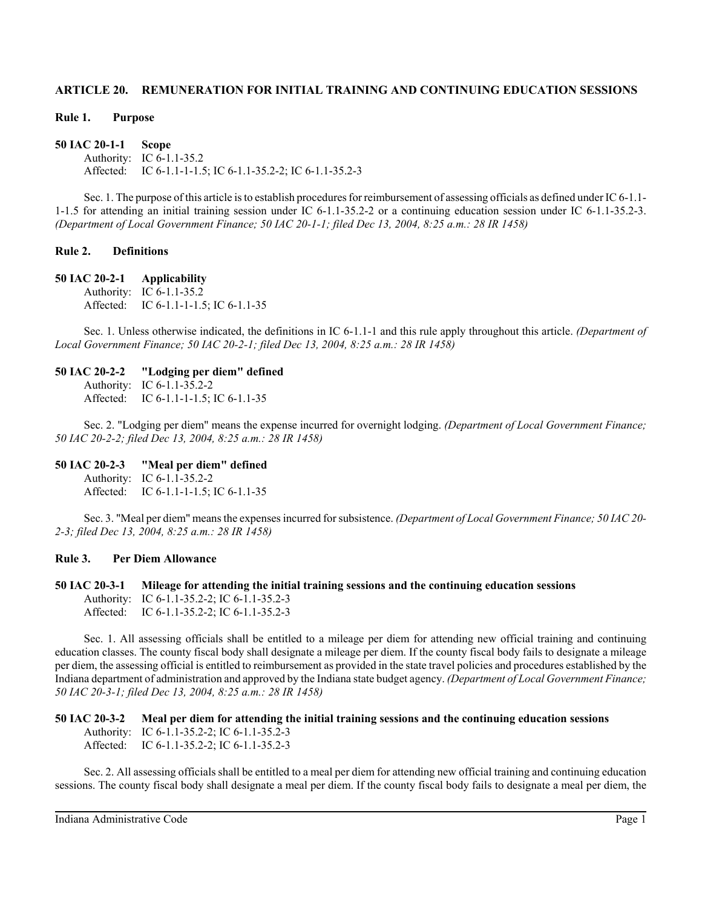# **ARTICLE 20. REMUNERATION FOR INITIAL TRAINING AND CONTINUING EDUCATION SESSIONS**

#### **Rule 1. Purpose**

**50 IAC 20-1-1 Scope** Authority: IC 6-1.1-35.2 Affected: IC 6-1.1-1-1.5; IC 6-1.1-35.2-2; IC 6-1.1-35.2-3

Sec. 1. The purpose of this article is to establish procedures for reimbursement of assessing officials as defined under IC 6-1.1- 1-1.5 for attending an initial training session under IC 6-1.1-35.2-2 or a continuing education session under IC 6-1.1-35.2-3. *(Department of Local Government Finance; 50 IAC 20-1-1; filed Dec 13, 2004, 8:25 a.m.: 28 IR 1458)*

### **Rule 2. Definitions**

#### **50 IAC 20-2-1 Applicability**

Authority: IC 6-1.1-35.2 Affected: IC 6-1.1-1-1.5; IC 6-1.1-35

Sec. 1. Unless otherwise indicated, the definitions in IC 6-1.1-1 and this rule apply throughout this article. *(Department of Local Government Finance; 50 IAC 20-2-1; filed Dec 13, 2004, 8:25 a.m.: 28 IR 1458)*

#### **50 IAC 20-2-2 "Lodging per diem" defined**

Authority: IC 6-1.1-35.2-2 Affected: IC 6-1.1-1-1.5; IC 6-1.1-35

Sec. 2. "Lodging per diem" means the expense incurred for overnight lodging. *(Department of Local Government Finance; 50 IAC 20-2-2; filed Dec 13, 2004, 8:25 a.m.: 28 IR 1458)*

#### **50 IAC 20-2-3 "Meal per diem" defined**

Authority: IC 6-1.1-35.2-2 Affected: IC 6-1.1-1-1.5; IC 6-1.1-35

Sec. 3. "Meal per diem" means the expenses incurred for subsistence. *(Department of Local Government Finance; 50 IAC 20- 2-3; filed Dec 13, 2004, 8:25 a.m.: 28 IR 1458)*

### **Rule 3. Per Diem Allowance**

### **50 IAC 20-3-1 Mileage for attending the initial training sessions and the continuing education sessions** Authority: IC 6-1.1-35.2-2; IC 6-1.1-35.2-3 Affected: IC 6-1.1-35.2-2; IC 6-1.1-35.2-3

Sec. 1. All assessing officials shall be entitled to a mileage per diem for attending new official training and continuing education classes. The county fiscal body shall designate a mileage per diem. If the county fiscal body fails to designate a mileage per diem, the assessing official is entitled to reimbursement as provided in the state travel policies and procedures established by the Indiana department of administration and approved by the Indiana state budget agency. *(Department of Local Government Finance; 50 IAC 20-3-1; filed Dec 13, 2004, 8:25 a.m.: 28 IR 1458)*

# **50 IAC 20-3-2 Meal per diem for attending the initial training sessions and the continuing education sessions**

Authority: IC 6-1.1-35.2-2; IC 6-1.1-35.2-3 Affected: IC 6-1.1-35.2-2; IC 6-1.1-35.2-3

Sec. 2. All assessing officials shall be entitled to a meal per diem for attending new official training and continuing education sessions. The county fiscal body shall designate a meal per diem. If the county fiscal body fails to designate a meal per diem, the